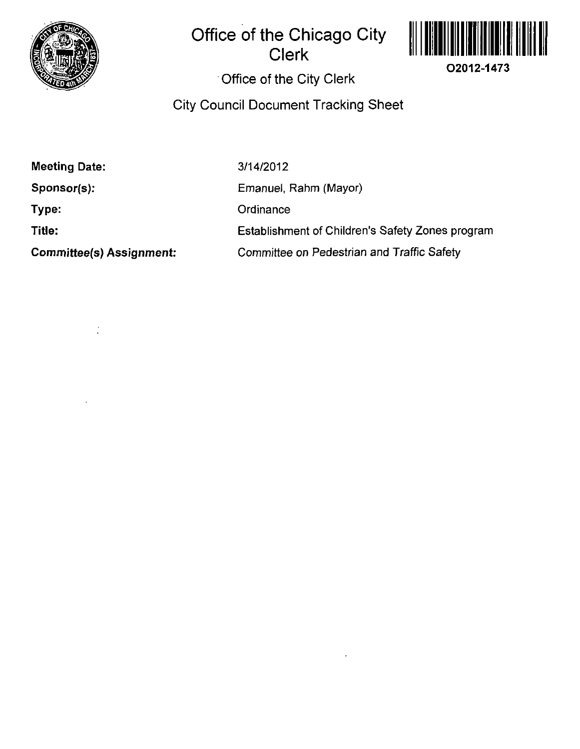

# **Office of the Chicago City Clerk**



## **Office of the City Clerk**

## **City Council Document Tracking Sheet**

| <b>Meeting Date:</b>            | 3/14/2012                                        |
|---------------------------------|--------------------------------------------------|
| $Sponsor(s)$ :                  | Emanuel, Rahm (Mayor)                            |
| Type:                           | Ordinance                                        |
| Title:                          | Establishment of Children's Safety Zones program |
| <b>Committee(s) Assignment:</b> | Committee on Pedestrian and Traffic Safety       |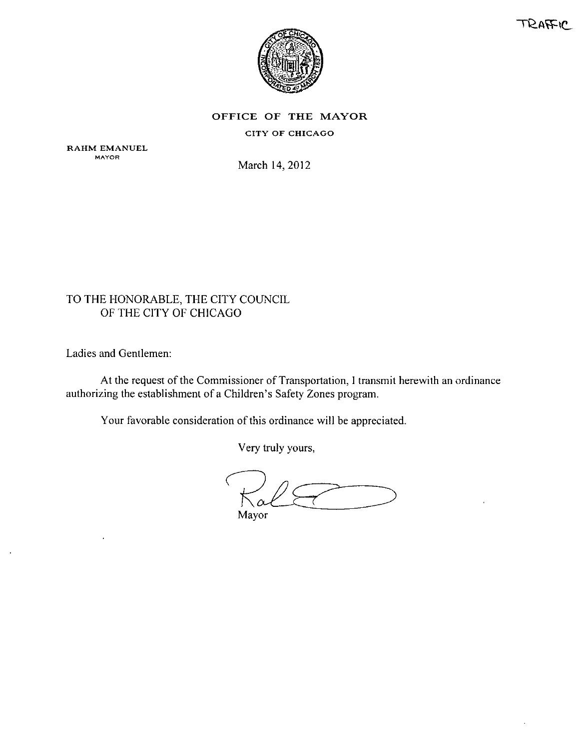



#### OFFICE OF THE MAYOR

#### CITY OF CHICAGO

RAHM EMANUEL **MAYOR** 

March 14.2012

## TO THE HONORABLE, THE CITY COUNCIL OF THE CITY OF CHICAGO

Ladies and Gentlemen:

At the request of the Commissioner of Transportation, I transmit herewith an ordinance authorizing the establishment of a Children's Safety Zones program.

Your favorable consideration of this ordinance will be appreciated.

Very truly yours,

 $\alpha$ Mayor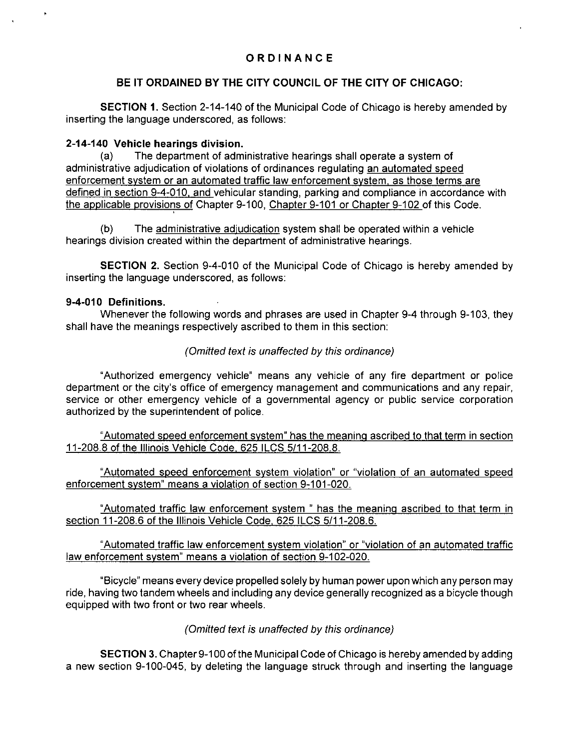## **ORDINANC E**

### **BE IT ORDAINED BY THE CITY COUNCIL OF THE CITY OF CHICAGO:**

SECTION 1. Section 2-14-140 of the Municipal Code of Chicago is hereby amended by inserting the language underscored, as follows:

#### **2-14-140 Vehicle hearings division.**

(a) The department of administrative hearings shall operate a system of administrative adjudication of violations of ordinances regulating an automated speed enforcement svstem or an automated traffic law enforcement svstem, as those terms are defined in section 9-4-010. and vehicular standing, parking and compliance in accordance with the applicable provisions of Chapter 9-100, Chapter 9-101 or Chapter 9-102 of this Code.

(b) The administrative adjudication system shall be operated within a vehicle hearings division created within the department of administrative hearings.

SECTION 2. Section 9-4-010 of the Municipal Code of Chicago is hereby amended by inserting the language underscored, as follows:

#### **9-4-010 Definitions.**

Whenever the following words and phrases are used in Chapter 9-4 through 9-103, they shall have the meanings respectively ascribed to them in this section:

#### (Omitted text is unaffected by this ordinance)

"Authorized emergency vehicle" means any vehicle of any fire department or police department or the city's office of emergency management and communications and any repair, service or other emergency vehicle of a governmental agency or public service corporation authorized by the superintendent of police.

"Automated speed enforcement svstem" has the meaning ascribed to that term in section 11 -208.8 of the Illinois Vehicle Code. 625 ILCS 5/11 -208.8.

"Automated speed enforcement svstem violation" or "violation of an automated speed enforcement svstem" means a violation of section 9-101-020.

"Automated traffic law enforcement svstem " has the meaning ascribed to that term in section 11-208.6 of the Illinois Vehicle Code, 625 ILCS 5/11-208.6.

"Automated traffic law enforcement svstem violation" or "violation of an automated traffic law enforcement svstem" means a violation of section 9-102-020.

"Bicycle" means every device propelled solely by human power upon which any person may ride, having two tandem wheels and including any device generally recognized as a bicycle though equipped with two front or two rear wheels.

#### (Omitted text is unaffected by this ordinance)

SECTION 3. Chapter 9-100 of the Municipal Code of Chicago is hereby amended by adding a new section 9-100-045, by deleting the language struck through and inserting the language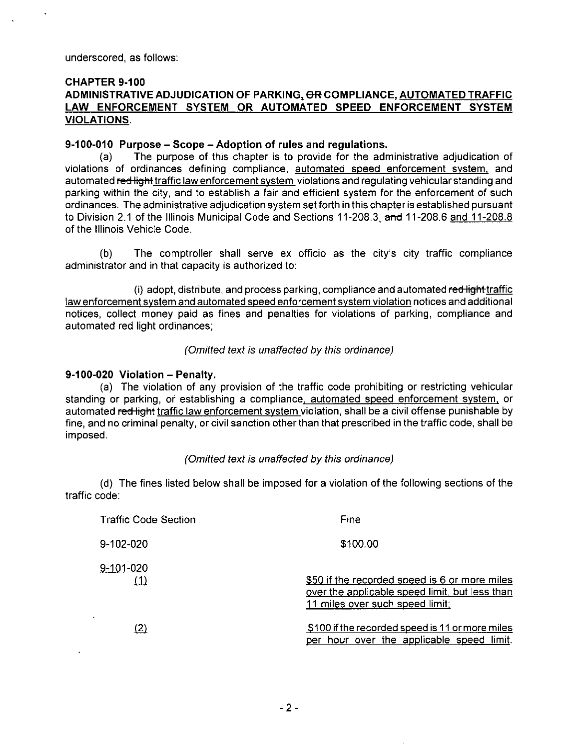#### **CHAPTER 9-100 ADMINISTRATIVE ADJUDICATION OF PARKING. OR COMPLIANCE. AUTOMATED TRAFFIC LAW ENFORCEMENT SYSTEM OR AUTOMATED SPEED ENFORCEMENT SYSTEM VIOLATIONS.**

#### **9-100-010 Purpose - Scope - Adoption of rules and regulations.**

(a) The purpose of this chapter is to provide for the administrative adjudication of violations of ordinances defining compliance, automated speed enforcement svstem, and automated red light traffic law enforcement system violations and regulating vehicular standing and parking within the city, and to establish a fair and efficient system for the enforcement of such ordinances. The administrative adjudication system set forth in this chapter is established pursuant to Division 2.1 of the Illinois Municipal Code and Sections 11-208.3, and 11-208.6 and 11-208.8 of the Illinois Vehicle Code.

(b) The comptroller shall serve ex officio as the city's city traffic compliance administrator and in that capacity is authorized to:

(i) adopt, distribute, and process parking, compliance and automated red light traffic law enforcement svstem and automated speed enforcement svstem violation notices and additional notices, collect money paid as fines and penalties for violations of parking, compliance and automated red light ordinances;

(Omitted text is unaffected by this ordinance)

#### **9-100-020 Violation - Penalty.**

(a) The violation of any provision of the traffic code prohibiting or restricting vehicular standing or parking, of establishing a compliance, automated speed enforcement svstem, or automated re<del>d light</del> traffic law enforcement system violation, shall be a civil offense punishable by fine, and no criminal penalty, or civil sanction other than that prescribed in the traffic code, shall be imposed.

#### (Omitted text is unaffected by this ordinance)

(d) The fines listed below shall be imposed for a violation of the following sections of the traffic code:

| <b>Traffic Code Section</b> | Fine                                                                                                                               |
|-----------------------------|------------------------------------------------------------------------------------------------------------------------------------|
| 9-102-020                   | \$100.00                                                                                                                           |
| 9-101-020<br>(1)            | \$50 if the recorded speed is 6 or more miles<br>over the applicable speed limit, but less than<br>11 miles over such speed limit; |
| (2)                         | \$100 if the recorded speed is 11 or more miles<br>per hour over the applicable speed limit.                                       |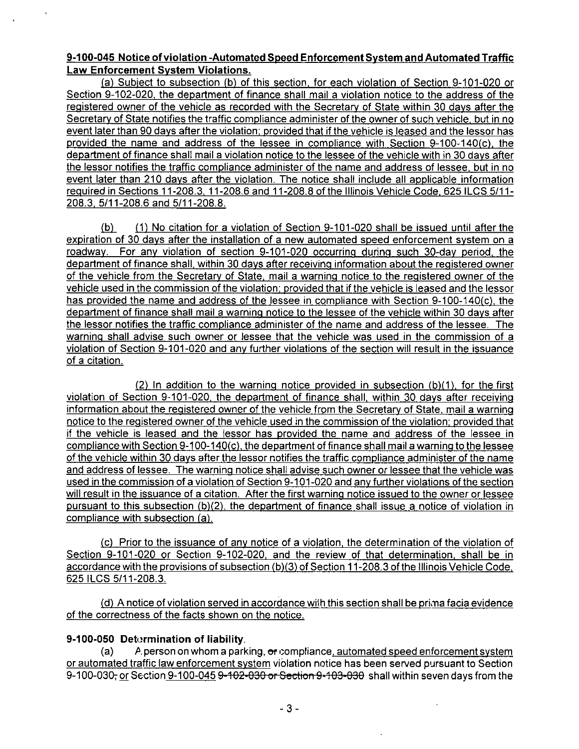### **9-100-045 Notice of violation -Automated Speed Enforcement Svstem and Automated Traffic Law Enforcement Svstem Violations.**

(a) Subiect to subsection (b) of this section, for each violation of Section 9-101-020 or Section 9-102-020, the department of finance shall mail a violation notice to the address of the registered owner of the vehicle as recorded with the Secretary of State within 30 days after the Secretary of State notifies the traffic compliance administer of the owner of such vehicle, but in no event later than 90 davs after the violation; provided that if the vehicle is leased and the lessor has provided the name and address of the lessee in compliance with Section 9-100-140(c). the department of finance shall mail a violation notice to the lessee of the vehicle with in 30 davs after the lessor notifies the traffic compliance administer of the name and address of lessee, but in no event later than 210 days after the violation. The notice shall include all applicable information reguired in Sections 11-208.3. 11-208.6 and 11-208.8 of the Illinois Vehicle Code, 625 ILCS 5/11- 208.3. 5/11-208.6 and 5/11-208.8.

(b) (1) No citation for a violation of Section 9-101-020 shall be issued until afterthe expiration of 30 davs after the installation of a new automated speed enforcement svstem on a roadway. For anv violation of section 9-101-020 occurring during such 30-dav period, the department of finance shall, within 30 davs after receiving information about the registered owner of the vehicle from the Secretary of State, mail a warning notice to the registered owner of the vehicle used in the commission of the violation; provided that if the vehicle is leased and the lessor has provided the name and address of the lessee in compliance with Section 9-100-140(c). the department of finance shall mail a warning notice to the lessee of the vehicle within 30 davs after the lessor notifies the traffic compliance administer of the name and address of the lessee. The warning shall advise such owner or lessee that the vehicle was used in the commission of a violation of Section 9-101-020 and anv further violations of the section will result in the issuance of a citation.

 $(2)$  In addition to the warning notice provided in subsection  $(b)(1)$ , for the first violation of Section 9-101-020. the department of finance shall, within 30 davs after receiving information about the registered owner of the vehicle from the Secretary of State, mail a warning notice to the registered owner of the vehicle used in the commission of the violation; provided that if the vehicle is leased and the lessor has provided the name and address of the lessee in compliance with Section 9-100-140(c). the department of finance shall mail a warning to the lessee of the vehicle within 30 davs after the lessor notifies the traffic compliance administer of the name and address of lessee. The warning notice shall advise such owner or lessee that the vehicle was used in the commission of a violation of Section 9-101-020 and anv further violations ofthe section will result in the issuance of a citation. After the first warning notice issued to the owner or lessee pursuant to this subsection (b)(2), the department of finance shall issue a notice of violation in compliance with subsection (a).

(c) Prior to the issuance of anv notice of a violation, the determination of the violation of Section 9-101-020 or Section 9-102-020, and the review of that determination, shall be in accordance with the provisions of subsection (b)(3) of Section 11-208.3 of the Illinois Vehicle Code, 625 ILCS 5/11-208.3.

 $(d)$  A notice of violation served in accordance with this section shall be prima facia evidence of the correctness of the facts shown on the notice.

## **9-100-050 Detormination of liability.**

(a) A person on whom a parking,  $\sigma$  compliance, automated speed enforcement system or automated traffic law enforcement system violation notice has been served pursuant to Section 9-100-030; or Section 9-100-045 9-102-030 or Section 9-103-030 shall within seven days from the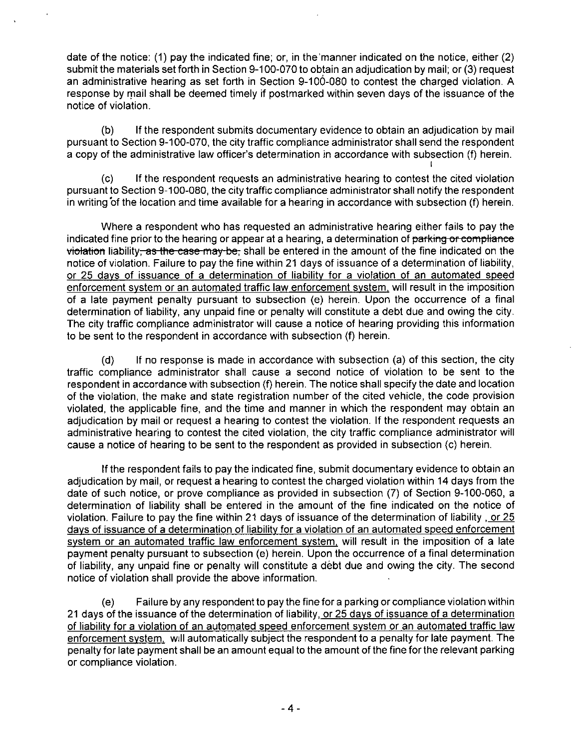date of the notice: (1) pay the indicated fine; or, in the'manner indicated on the notice, either (2) submit the materials set forth in Section 9-100-070 to obtain an adjudication by mail; or (3) request an administrative hearing as set forth in Section 9-100-080 to contest the charged violation. A response by rnail shall be deemed timely if postmarked within seven days of the issuance of the notice of violation.

(b) If the respondent submits documentary evidence to obtain an adjudication by mail pursuant to Section 9-100-070, the city traffic compliance administrator shall send the respondent a copy of the administrative law officer's determination in accordance with subsection (f) herein. I

(c) If the respondent requests an administrative hearing to contest the cited violation pursuant to Section 9-100-080, the city traffic compliance administrator shall notify the respondent in writing of the location and time available for a hearing in accordance with subsection (f) herein.

Where a respondent who has requested an administrative hearing either fails to pay the indicated fine prior to the hearing or appear at a hearing, a determination of parking or compliance violation liability, as the case may be, shall be entered in the amount of the fine indicated on the notice of violation. Failure to pay the fine within 21 days of issuance of a determination of liability, or 25 davs of issuance of a determination of liability for a violation of an automated speed enforcement svstem or an automated traffic law enforcement svstem, will result in the imposition of a late payment penalty pursuant to subsection (e) herein. Upon the occurrence of a final determination of liability, any unpaid fine or penalty will constitute a debt due and owing the city. The city traffic compliance administrator will cause a notice of hearing providing this information to be sent to the respondent in accordance with subsection (f) herein.

(d) If no response is made in accordance with subsection (a) ofthis section, the city traffic compliance administrator shall cause a second notice of violation to be sent to the respondent in accordance with subsection (f) herein. The notice shall specify the date and location of the violation, the make and state registration number of the cited vehicle, the code provision violated, the applicable fine, and the time and manner in which the respondent may obtain an adjudication by mail or request a hearing to contest the violation. If the respondent requests an administrative hearing to contest the cited violation, the city traffic compliance administrator will cause a notice of hearing to be sent to the respondent as provided in subsection (c) herein.

If the respondent fails to pay the indicated fine, submit documentary evidence to obtain an adjudication by mail, or request a hearing to contest the charged violation within 14 days from the date of such notice, or prove compliance as provided in subsection (7) of Section 9-100-060, a determination of liability shall be entered in the amount of the fine indicated on the notice of violation. Failure to pay the fine within 21 days of issuance of the determination of liability, or 25 davs of issuance of a determination of liability for a violation of an automated speed enforcement system or an automated traffic law enforcement system, will result in the imposition of a late payment penalty pursuant to subsection (e) herein. Upon the occurrence of a final determination of liability, any unpaid fine or penalty will constitute a debt due and owing the city. The second notice of violation shall provide the above information.

(e) Failure by any respondent to pay the fine for a parking or compliance violation within 21 days of the issuance of the determination of liability, or 25 davs of issuance of a determination of liability for a violation of an automated speed enforcement system or an automated traffic law enforcement svstem, will automatically subject the respondent to a penalty for late payment. The penalty for late payment shall be an amount equal to the amount of the fine for the relevant parking or compliance violation.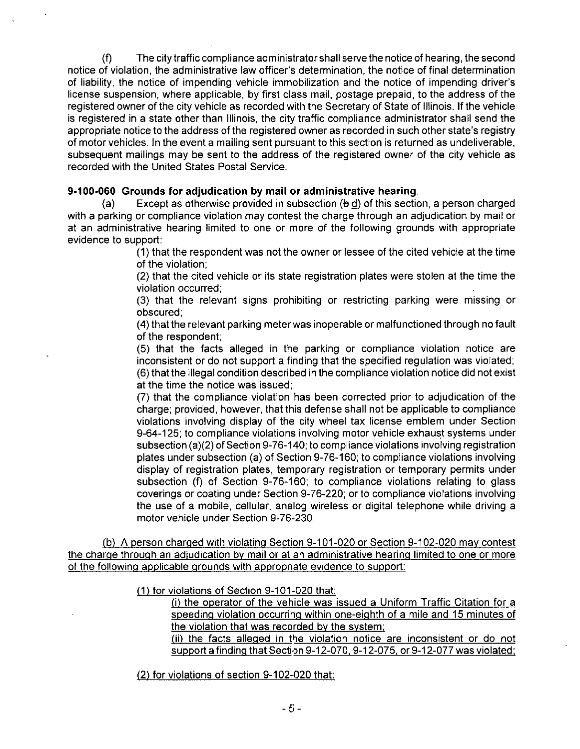(f) The city traffic compliance administrator shall serve the notice of hearing, the second notice of violation, the administrative law officer's determination, the notice of final determination of liability, the notice of impending vehicle immobilization and the notice of impending driver's license suspension, where applicable, by first class mail, postage prepaid, to the address of the registered owner of the city vehicle as recorded with the Secretary of State of Illinois. If the vehicle is registered in a state other than Illinois, the city traffic compliance administrator shall send the appropriate notice to the address of the registered owner as recorded in such other state's registry of motor vehicles. In the event a mailing sent pursuant to this section is returned as undeliverable, subsequent mailings may be sent to the address of the registered owner of the city vehicle as recorded with the United States Postal Service.

#### **9-100-060 Grounds for adjudication by mail or administrative hearing.**

(a) Except as otherwise provided in subsection  $(b\,d)$  of this section, a person charged with a parking or compliance violation may contest the charge through an adjudication by mail or at an administrative hearing limited to one or more of the following grounds with appropriate evidence to support:

> (1) that the respondent was not the owner or lessee of the cited vehicle at the time of the violation;

> (2) that the cited vehicle or its state registration plates were stolen at the time the violation occurred;

> (3) that the relevant signs prohibiting or restricting parking were missing or obscured;

> (4) that the relevant parking meter was inoperable or malfunctioned through no fault of the respondent;

> (5) that the facts alleged in the parking or compliance violation notice are inconsistent or do not support a finding that the specified regulation was violated; (6) that the illegal condition described in the compliance violation notice did not exist at the time the notice was issued;

> (7) that the compliance violation has been corrected prior to adjudication of the charge; provided, however, that this defense shall not be applicable to compliance violations involving display of the city wheel tax license emblem under Section 9-64-125; to compliance violations involving motor vehicle exhaust systems under subsection (a)(2) of Section 9-76-140; to compliance violations involving registration plates under subsection (a) of Section 9-76-160; to compliance violations involving display of registration plates, temporary registration or temporary permits under subsection (f) of Section 9-76-160; to compliance violations relating to glass coverings or coating under Section 9-76-220; or to compliance violations involving the use of a mobile, cellular, analog wireless or digital telephone while driving a motor vehicle under Section 9-76-230.

(b) A person charged with violating Section 9-101-020 or Section 9-102-020 mav contest the charge through an adjudication bv mail or at an administrative hearing limited to one or more of the following applicable grounds with appropriate evidence to support:

(1) for violations of Section 9-101-020 that:

(i) the operator of the vehicle was issued a Uniform Traffic Citation for a speeding violation occurring within one-eighth of a mile and 15 minutes of the violation that was recorded bv the svstem;

(ii) the facts alleged in the violation notice are inconsistent or do not support a finding that Section 9-12-070, 9-12-075, or 9-12-077 was violated:

(2) for violations of section 9-102-020 that: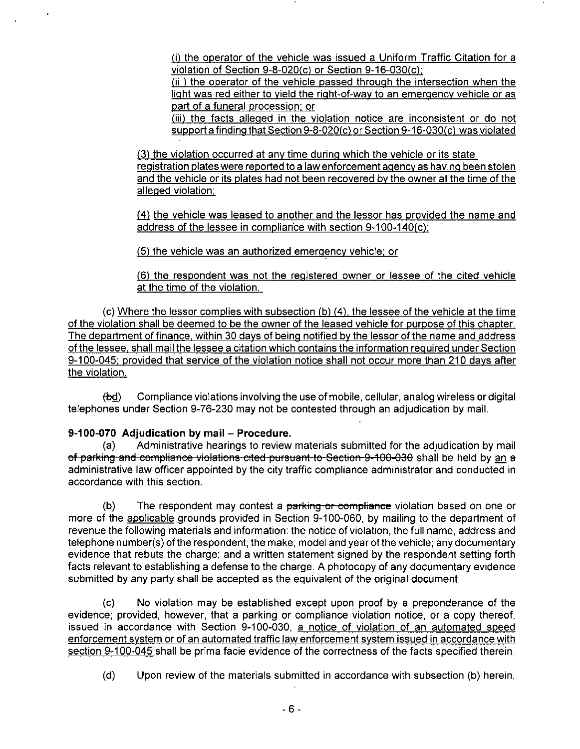(i) the operator of the vehicle was issued a Uniform Traffic Citation for a violation of Section 9-8-020(c) or Section 9-16-030(c);

(ii ) the operator of the vehicle passed through the intersection when the light was red either to yield the right-of-way to an emergency vehicle or as part of a funeral procession; or

(iii) the facts alleged in the violation notice are inconsistent or do not support a finding that Section 9-8-020(c) or Section 9-16-030(c) was violated

(3) the violation occurred at anv time during which the vehicle or its state registration plates were reported to a law enforcement agency as having been stolen and the vehicle or its plates had not been recovered bv the owner at the time of the alleged violation:

(4) the vehicle was leased to another and the lessor has provided the name and address of the lessee in compliance with section  $9-100-140(c)$ ;

(5) the vehicle was an authorized emergency vehicle; or

(6) the respondent was not the registered owner or lessee of the cited vehicle at the time of the violation.

 $(c)$  Where the lessor complies with subsection  $(b)$   $(4)$ , the lessee of the vehicle at the time of the violation shall be deemed to be the owner of the leased vehicle for purpose of this chapter. The department of finance, within 30 davs of being notified by the lessor of the name and address of the lessee, shall mail the lessee a citation which contains the information reguired under Section 9-100-045: provided that service ofthe violation notice shall not occur more than 210 davs after the violation.

(bd) Compliance violations involving the use of mobile, cellular, analog wireless or digital telephones under Section 9-76-230 may not be contested through an adjudication by mail.

### **9-100-070 Adjudication by mail - Procedure.**

(a) Administrative hearings to review materials submitted for the adjudication by mail of parking and compliance violations cited pursuant to Section 9-100-030 shall be held by an a administrative law officer appointed by the city traffic compliance administrator and conducted in accordance with this section.

(b) The respondent may contest a parking or compliance violation based on one or more of the applicable grounds provided in Section 9-100-060, by mailing to the department of revenue the following materials and information: the notice of violation, the full name, address and telephone number(s) ofthe respondent; the make, model and year ofthe vehicle; any documentary evidence that rebuts the charge; and a written statement signed by the respondent setting forth facts relevant to establishing a defense to the charge. A photocopy of any documentary evidence submitted by any party shall be accepted as the equivalent of the original document.

(c) No violation may be established except upon proof by a preponderance of the evidence; provided, however, that a parking or compliance violation notice, or a copy thereof, issued in accordance with Section 9-100-030, a notice of violation of an automated speed enforcement svstem or of an automated traffic law enforcement svstem issued in accordance with section 9-100-045 shall be prima facie evidence of the correctness of the facts specified therein.

(d) Upon review of the materials submitted in accordance with subsection (b) herein,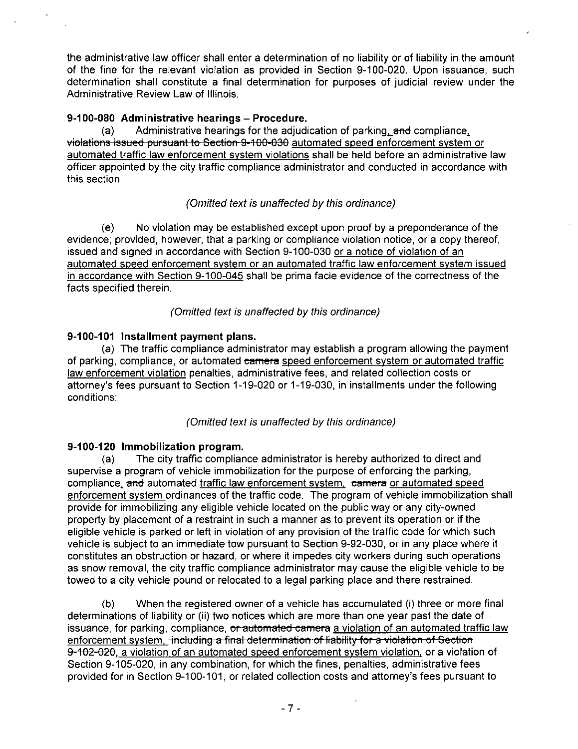the administrative law officer shall enter a determination of no liability or of liability in the amount of the fine for the relevant violation as provided in Section 9-100-020. Upon issuance, such determination shall constitute a final determination for purposes of judicial review under the Administrative Review Law of Illinois.

## **9-100-080 Administrative hearings - Procedure.**

(a) Administrative hearings for the adjudication of parking,  $\theta$ nd compliance, violations issued pursuant to Section 9-100-030 automated speed enforcement svstem or automated traffic law enforcement svstem violations shall be held before an administrative law officer appointed by the city traffic compliance administrator and conducted in accordance with this section.

## (Omitted text is unaffected by this ordinance)

(e) No violation may be established except upon proof by a preponderance of the evidence; provided, however, that a parking or compliance violation notice, or a copy thereof, issued and signed in accordance with Section 9-100-030 or a notice of violation of an automated speed enforcement svstem or an automated traffic law enforcement svstem issued in accordance with Section 9-100-045 shall be prima facie evidence of the correctness of the facts specified therein.

### (Omitted text is unaffected by this ordinance)

## **9-100-101 Installment payment plans.**

(a) The traffic compliance administrator may establish a program allowing the payment of parking, compliance, or automated camera speed enforcement system or automated traffic law enforcement violation penalties, administrative fees, and related collection costs or attorney's fees pursuant to Section 1-19-020 or 1-19-030, in installments under the following conditions:

(Omitted text is unaffected by this ordinance)

### **9-100-120 Immobilization program.**

(a) The city traffic compliance administrator is hereby authorized to direct and supervise a program of vehicle immobilization for the purpose of enforcing the parking, compliance, and automated traffic law enforcement system, camera or automated speed enforcement system ordinances of the traffic code. The program of vehicle immobilization shall provide for immobilizing any eligible vehicle located on the public way or any city-owned property by placement of a restraint in such a manner as to prevent its operation or if the eligible vehicle is parked or left in violation of any provision of the traffic code for which such vehicle is subject to an immediate tow pursuant to Section 9-92-030, or in any place where it constitutes an obstruction or hazard, or where it impedes city workers during such operations as snow removal, the city traffic compliance administrator may cause the eligible vehicle to be towed to a city vehicle pound or relocated to a legal parking place and there restrained.

(b) When the registered owner of a vehicle has accumulated (i) three or more final determinations of liability or (ii) two notices which are more than one year past the date of issuance, for parking, compliance, or automated camera a violation of an automated traffic law enforcement system. including a final determination of liability for a violation of Section 9-102-020, a violation of an automated speed enforcement svstem violation, or a violation of Section 9-105-020, in any combination, for which the fines, penalties, administrative fees provided for in Section 9-100-101, or related collection costs and attorney's fees pursuant to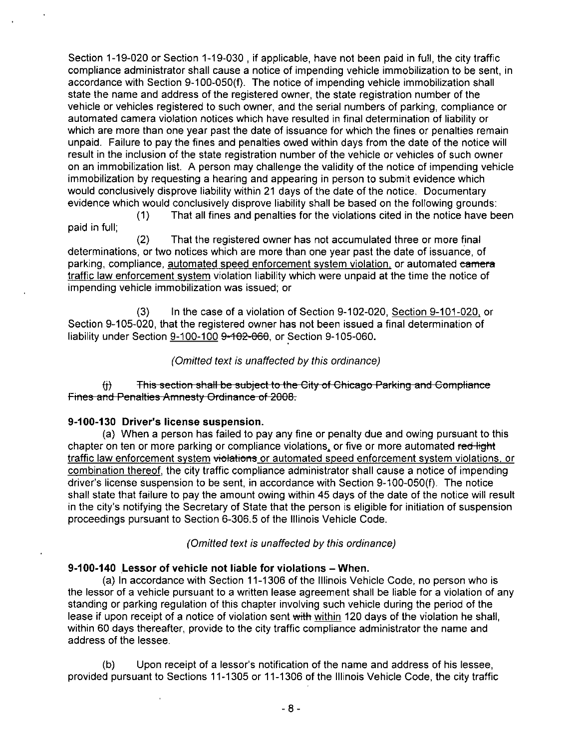Section 1-19-020 or Section 1-19-030 , if applicable, have not been paid in full, the city traffic compliance administrator shall cause a notice of impending vehicle immobilization to be sent, in accordance with Section 9-100-050(f). The notice of impending vehicle immobilization shall state the name and address of the registered owner, the state registration number of the vehicle or vehicles registered to such owner, and the serial numbers of parking, compliance or automated camera violation notices which have resulted in final determination of liability or which are more than one year past the date of issuance for which the fines or penalties remain unpaid. Failure to pay the fines and penalties owed within days from the date of the notice will result in the inclusion of the state registration number of the vehicle or vehicles of such owner on an immobilization list. A person may challenge the validity of the notice of impending vehicle immobilization by requesting a hearing and appearing in person to submit evidence which would conclusively disprove liability within 21 days of the date of the notice. Documentary evidence which would conclusively disprove liability shall be based on the following grounds:

(1) That all fines and penalties forthe violations cited in the notice have been paid in full;

(2) That the registered owner has not accumulated three or more final determinations, or two notices which are more than one year past the date of issuance, of parking, compliance, automated speed enforcement system violation, or automated camera traffic law enforcement svstem violation liability which were unpaid at the time the notice of impending vehicle immobilization was issued; or

(3) In the case of a violation of Section 9-102-020, Section 9-101-020, or Section 9-105-020, that the registered owner has not been issued a final determination of liability under Section 9-100-100 9-102-060. or Section 9-105-060.

### (Omitted text is unaffected by this ordinance)

fj) This section shall be subject to the City of Chicago Parking and Compliance Fines and Penalties Amnesty Ordinance of 2008.

#### **9-100-130 Driver's license suspension.**

(a) When a person has failed to pay any fine or penalty due and owing pursuant to this chapter on ten or more parking or compliance violations, or five or more automated red light traffic law enforcement system violations or automated speed enforcement system violations, or combination thereof, the city traffic compliance administrator shall cause a notice of impending driver's license suspension to be sent, in accordance with Section 9-100-050(f). The notice shall state that failure to pay the amount owing within 45 days of the date of the notice will result in the city's notifying the Secretary of State that the person is eligible for initiation of suspension proceedings pursuant to Section 6-306.5 of the Illinois Vehicle Code.

(Omitted text is unaffected by this ordinance)

### **9-100-140 Lessor of vehicle not liable for violations - When.**

(a) In accordance with Section 11-1306 ofthe Illinois Vehicle Code, no person who is the lessor of a vehicle pursuant to a written lease agreement shall be liable for a violation of any standing or parking regulation of this chapter involving such vehicle during the period of the lease if upon receipt of a notice of violation sent with within 120 days of the violation he shall, within 60 days thereafter, provide to the city traffic compliance administrator the name and address of the lessee.

(b) Upon receipt of a lessor's notification of the name and address of his lessee, provided pursuant to Sections 11-1305 or 11 -1306 of the Illinois Vehicle Code, the city traffic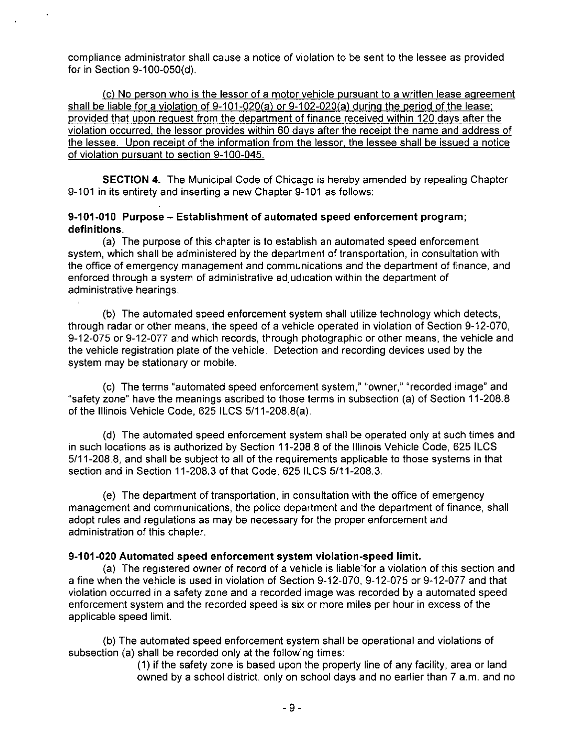compliance administrator shall cause a notice of violation to be sent to the lessee as provided for in Section 9-100-050(d).

(c) No person who is the lessor of a motor vehicle pursuant to a written lease agreement shall be liable for a violation of 9-101-020(a) or 9-102-020(a) during the period of the lease; provided that upon reguest from the department of finance received within 120 davs after the violation occurred, the lessor provides within 60 davs after the receipt the name and address of the lessee. Upon receipt of the information from the lessor, the lessee shall be issued a notice of violation pursuant to section 9-100-045.

SECTION 4. The Municipal Code of Chicago is hereby amended by repealing Chapter 9-101 in its entirety and inserting a new Chapter 9-101 as follows:

#### **9-101-010 Purpose - Establishment of automated speed enforcement program; definitions.**

(a) The purpose of this chapter is to establish an automated speed enforcement system, which shall be administered by the department of transportation, in consultation with the office of emergency management and communications and the department of finance, and enforced through a system of administrative adjudication within the department of administrative hearings.

(b) The automated speed enforcement system shall utilize technology which detects, through radar or other means, the speed of a vehicle operated in violation of Section 9-12-070, 9-12-075 or 9-12-077 and which records, through photographic or other means, the vehicle and the vehicle registration plate of the vehicle. Detection and recording devices used by the system may be stationary or mobile.

(c) The terms "automated speed enforcement system," "owner," "recorded image" and "safety zone" have the meanings ascribed to those terms in subsection (a) of Section 11-208.8 of the Illinois Vehicle Code, 625 ILCS 5/11-208.8(a).

(d) The automated speed enforcement system shall be operated only at such times and in such locations as is authorized by Section 11 -208.8 of the Illinois Vehicle Code, 625 ILCS 5/11-208.8, and shall be subject to all of the requirements applicable to those systems in that section and in Section 11-208.3 of that Code, 625 ILCS 5/11-208.3.

(e) The department of transportation, in consultation with the office of emergency management and communications, the police department and the department of finance, shall adopt rules and regulations as may be necessary for the proper enforcement and administration of this chapter.

#### **9-101-020 Automated speed enforcement system violation-speed limit.**

(a) The registered owner of record of a vehicle is liable for a violation of this section and a fine when the vehicle is used in violation of Section 9-12-070, 9-12-075 or 9-12-077 and that violation occurred in a safety zone and a recorded image was recorded by a automated speed enforcement system and the recorded speed is six or more miles per hour in excess of the applicable speed limit.

(b) The automated speed enforcement system shall be operational and violations of subsection (a) shall be recorded only at the following times:

(1) if the safety zone is based upon the property line of any facility, area or land owned by a school district, only on school days and no earlier than 7 a.m. and no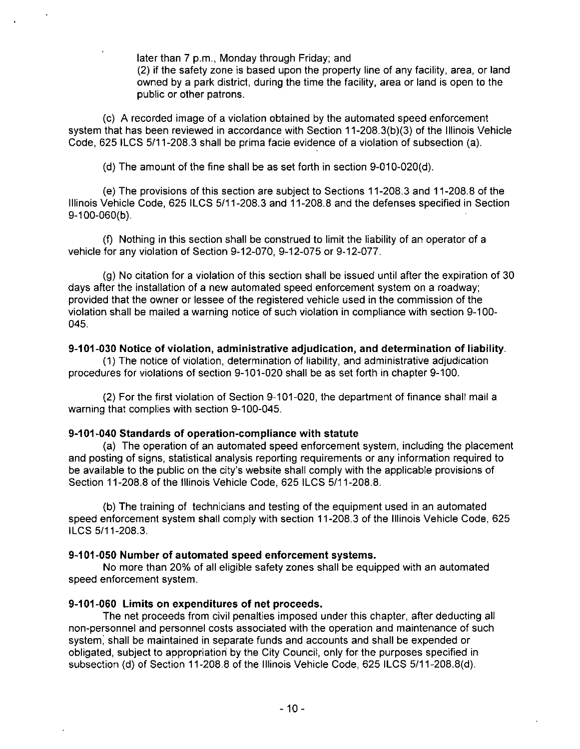later than 7 p.m., Monday through Friday; and

(2) if the safety zone is based upon the property line of any facility, area, or land owned by a park district, during the time the facility, area or land is open to the public or other patrons.

(c) A recorded image of a violation obtained by the automated speed enforcement system that has been reviewed in accordance with Section 11-208.3(b)(3) of the Illinois Vehicle Code, 625 ILCS 5/11-208.3 shall be prima facie evidence of a violation of subsection (a).

(d) The amount of the fine shall be as set forth in section  $9-010-020(d)$ .

(e) The provisions ofthis section are subject to Sections 11-208.3 and 11-208.8 of the Illinois Vehicle Code, 625 ILCS 5/11-208.3 and 11-208.8 and the defenses specified in Section 9-100-060{b).

(f) Nothing in this section shall be construed to limit the liability of an operator of a vehicle for any violation of Section 9-12-070, 9-12-075 or 9-12-077.

(g) No citation for a violation of this section shall be issued until after the expiration of 30 days after the installation of a new automated speed enforcement system on a roadway; provided that the owner or lessee of the registered vehicle used in the commission of the violation shall be mailed a warning notice of such violation in compliance with section 9-100- 045.

## **9-101-030 Notice of violation, administrative adjudication, and determination of liability.**

(1) The notice of violation, determination of liability, and administrative adjudication procedures for violations of section 9-101-020 shall be as set forth in chapter 9-100.

(2) For the first violation of Section 9-101 -020, the department of finance shall mail a warning that complies with section 9-100-045.

## **9-101-040 Standards of operation-compliance with statute**

(a) The operation of an automated speed enforcement system, including the placement and posting of signs, statistical analysis reporting requirements or any information required to be available to the public on the city's website shall comply with the applicable provisions of Section 11-208.8 of the Illinois Vehicle Code, 625 ILCS 5/11-208.8.

(b) The training of technicians and testing ofthe equipment used in an automated speed enforcement system shall comply with section 11 -208.3 of the Illinois Vehicle Code, 625 ILCS 5/11-208.3.

## **9-101-050 Number of automated speed enforcement systems.**

No more than 20% of all eligible safety zones shall be equipped with an automated speed enforcement system.

## **9-101-060 Limits on expenditures of net proceeds.**

The net proceeds from civil penalties imposed under this chapter, after deducting all non-personnel and personnel costs associated with the operation and maintenance of such system, shall be maintained in separate funds and accounts and shall be expended or obligated, subject to appropriation by the City Council, only for the purposes specified in subsection (d) of Section 11 -208.8 of the Illinois Vehicle Code, 625 ILCS 5/11 -208.8(d).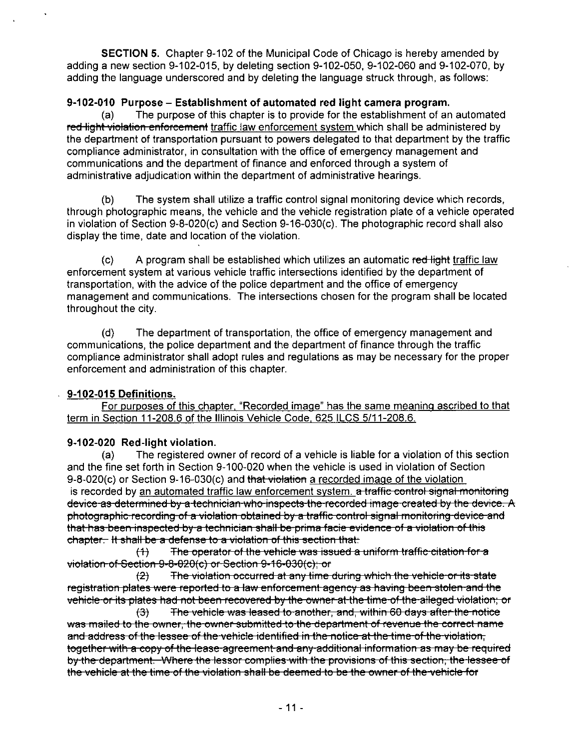SECTION 5. Chapter 9-102 of the Municipal Code of Chicago is hereby amended by adding a new section 9-102-015, by deleting section 9-102-050, 9-102-060 and 9-102-070, by adding the language underscored and by deleting the language struck through, as follows:

## **9-102-010 Purpose - Establishment of automated red light camera program.**

(a) The purpose of this chapter is to provide for the establishment of an automated red light violation enforcement traffic law enforcement system which shall be administered by the department of transportation pursuant to powers delegated to that department by the traffic compliance administrator, in consultation with the office of emergency management and communications and the department of finance and enforced through a system of administrative adjudication within the department of administrative heanngs.

(b) The system shall utilize a traffic control signal monitoring device which records, through photographic means, the vehicle and the vehicle registration plate of a vehicle operated in violation of Section 9-8-020(c) and Section 9-16-030(c). The photographic record shall also display the time, date and location of the violation.

 $\langle c \rangle$  A program shall be established which utilizes an automatic red light traffic law enforcement system at various vehicle traffic intersections identified by the department of transportation, with the advice of the police department and the office of emergency management and communications. The intersections chosen for the program shall be located throughout the city.

(d) The department of transportation, the office of emergency management and communications, the police department and the department of finance through the traffic compliance administrator shall adopt rules and regulations as may be necessary for the proper enforcement and administration of this chapter.

## **9-102-015 Definitions.**

For purposes of this chapter, "Recorded image" has the same meaning ascribed to that term in Section 11-208.6 of the Illinois Vehicle Code, 625 ILCS 5/11-208.6.

## **9-102-020 Red-light violation.**

(a) The registered owner of record of a vehicle is liable for a violation of this section and the fine set forth in Section 9-100-020 when the vehicle is used in violation of Section 9-8-020(c) or Section 9-16-030(c) and that violation a recorded image of the violation is recorded by an automated traffic law enforcement system. a traffic control signal monitoring device as determined by a technician who inspects the recorded image created by the device. A photographic recording of a violation obtained by a traffic control signal monitoring device and that has been inspected by a technician shall be prima facie evidence of a violation of this chapter. It shall be a defense to a violation of this section that:

 $(1)$  The operator of the vehicle was issued a uniform traffic citation for a violation of Section 9-8-020(c) or Section 9-16-030(c); or

(2) The violation occurred at any time during which the vehicle or its state registration plates were reported to a law enforcement agency as having been stolen and the vehicle or its plates had not been recovered by the owner at the time of the alleged violation; or

(3) The vehicle was leased to another, and, within 60 days after the notice was mailed to the owner, the owner submitted to the department of revenue the correct name and address of the lessee of the vehicle identified in the notice at the time of the violation, together with a copy of the lease agreement and any additional information as may be required by the department. Where the lessor complies with the provisions of this section, the lessee of the vehicle at the time of the violation shall be deemed to be the owner of the vehicle for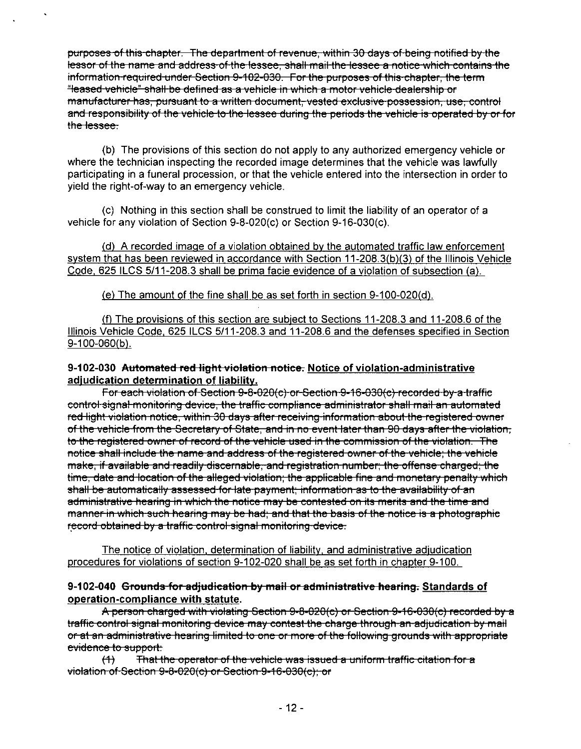purposes ofthis chapter. The department of revenue, within 30 days of being notified by the lessor of the name and address of the lessee, shall mail the lessee a notice which contains the information required under Section 9-102-030. For the purposes of this chapter, the term "leased vehicle" shall be defined as a vehicle in which a motor vehicle dealership or manufacturer has, pursuant to a written document, vested exclusive possession, use, control and responsibility of the vehicle to the lessee during the periods the vehicle is operated by or for the lessee.

(b) The provisions of this section do not apply to any authorized emergency vehicle or where the technician inspecting the recorded image determines that the vehicle was lawfully participating in a funeral procession, or that the vehicle entered into the intersection in order to yield the right-of-way to an emergency vehicle.

(c) Nothing in this section shall be construed to limit the liability of an operator of a vehicle for any violation of Section 9-8-020(c) or Section 9-16-030(c).

(d) A recorded image of a violation obtained bv the automated traffic law enforcement svstem that has been reviewed in accordance with Section 11-208.3(b)(3) of the Illinois Vehicle Code, 625 ILCS 5/11-208.3 shall be prima facie evidence of a violation of subsection (a).

(e) The amount of the fine shall be as set forth in section 9-100-020(d).

(f) The provisions of this section are subject to Sections  $11$ -208.3 and  $11$ -208.6 of the Illinois Vehicle Code, 625 ILCS 5/11-208.3 and 11-208.6 and the defenses specified in Section 9-100-060(b).

### **9-102-030 Automated red light violation notice. Notice of violation-administrative adjudication determination of liability.**

For each violation of Section 9-8-020(c) or Section 9-16-030(c) recorded by a traffic control signal monitoring device, the traffic compliance administrator shall mail an automated red light violation notice, within 30 days after receiving information about the registered owner of the vehicle from the Secretary of State, and in no event later than 90 days after the violation, to the registered owner of record of the vehicle used in the commission of the violation. The notice shall include the name and address of the registered owner of the vehicle; the vehicle make, if available and readily discernable, and registration number; the offense charged; the time, date and location of the alleged violation; the applicable fine and monetary penalty which shall be automatically assessed for late payment; information as to the availability of an administrative hearing in which the notice may be contested on its merits and the time and manner in which such hearing may be had; and that the basis of the notice is a photographic record obtained by a traffic control signal monitoring device.

The notice of violation, determination of liability, and administrative adjudication procedures for violations of section 9-102-020 shall be as set forth in chapter 9-100.

### **9-102-040 Grounds for adjudication by mail or administrative hearing. Standards of operation-compliance with statute.**

A person charged with violating Section 9-8-020(c) or Section 9-16-030(c) recorded by a traffic control signal monitoring device may contest the charge through an adjudication by mail or at an administrative hearing limited to one or more of the following grounds with appropriate evidence to support:

(4) That the operator of the vehicle was issued a uniform traffic citation for a violation of Section 9-8-020(c) or Section 9-16-030(c); or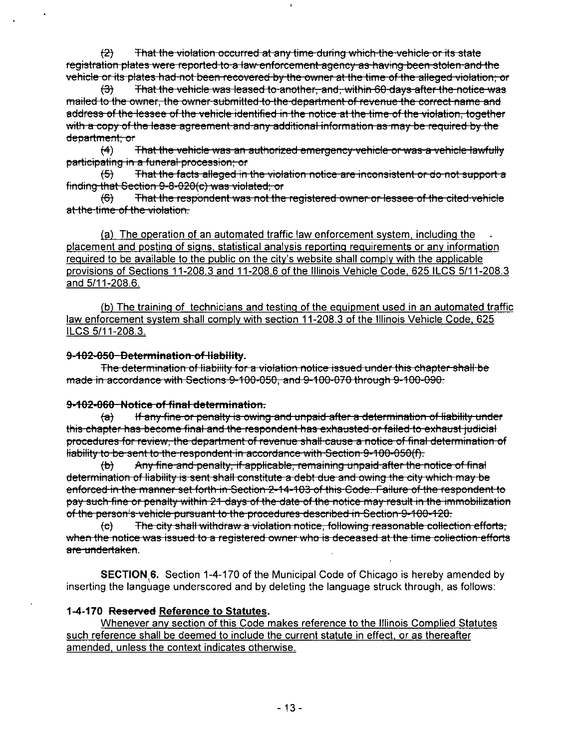$(2)$  That the violation occurred at any time during which the vehicle or its state registration plates were reported to a law enforcement agency as having been stolen and the

vehicle or its plates had not been recovered by the owner at the time of the alleged violation; or<br>(3) That the vehicle was leased to another, and, within 60 days after the notice was That the vehicle was leased to another, and, within 60 days after the notice was mailed to the owner, the owner submitted to the department of revenue the correct name and address of the lessee of the vehicle identified in the notice at the time of the violation, together with a copy of the lease agreement and any additional information as may be required by the department; or

(4) That the vehicle was an authorized emergency vehicle or was a vehicle lawfully participating in a funeral procession; or

(5) That the facts alleged in the violation notice are inconsistent or do not support a finding that Section 9-8-020(c) was violated; or

(6) That the respondent was not the registered owner or lessee of the cited vehicle at the time of the violation.

(a) The operation of an automated traffic law enforcement svstem, including the placement and posting of signs, statistical analysis reporting reguirements or anv information reguired to be available to the public on the citv's website shall comply with the applicable provisions of Sections 11-208.3 and 11-208.6 ofthe Illinois Vehicle Code. 625 ILCS 5/11-208.3 and 5/11-208.6.

(b) The training of technicians and testing of the equipment used in an automated traffic law enforcement system shall comply with section 11-208.3 of the Illinois Vehicle Code, 625 ILCS 5/11-208.3.

#### **9-102-050 Determination of liability.**

The determination of liability for a violation notice issued under this chapter shall be made in accordance with Sections 9-100-050, and 9-100-070 through 9-100-090.

#### **9-102-060 Notice of final determination.**

fa) If any fine or penalty is owing and unpaid after a determination of liability under this chapter has become final and the respondent has exhausted or failed to exhaust judicial procedures for review, the department of revenue shall cause a notice of final determination of liability to be sent to the respondent in accordance with Section 9-100-050(f).

(b) Any fine and penalty, if applicable, remaining unpaid after the notice of final determination of liability is sent shall constitute a debt due and owing the city which may be enforced in the manner set forth in Section 2-14-103 of this Code. Failure of the respondent to pay such fine or penalty within 21-days of the date of the notice may result in the immobilization of the person's vehicle pursuant to the procedures described in Section 9-100-120.

fe) The city shall withdraw a violation notice, following reasonable collection efforts, when the notice was issued to a registered owner who is deceased at the time collection efforts are undertaken.

SECTION 6. Section 1-4-170 of the Municipal Code of Chicago is hereby amended by inserting the language underscored and by deleting the language struck through, as follows:

### **1-4-170 Reserved Reference to Statutes.**

Whenever anv section ofthis Code makes reference to the Illinois Complied Statutes such reference shall be deemed to include the current statute in effect, or as thereafter amended, unless the context indicates otherwise.